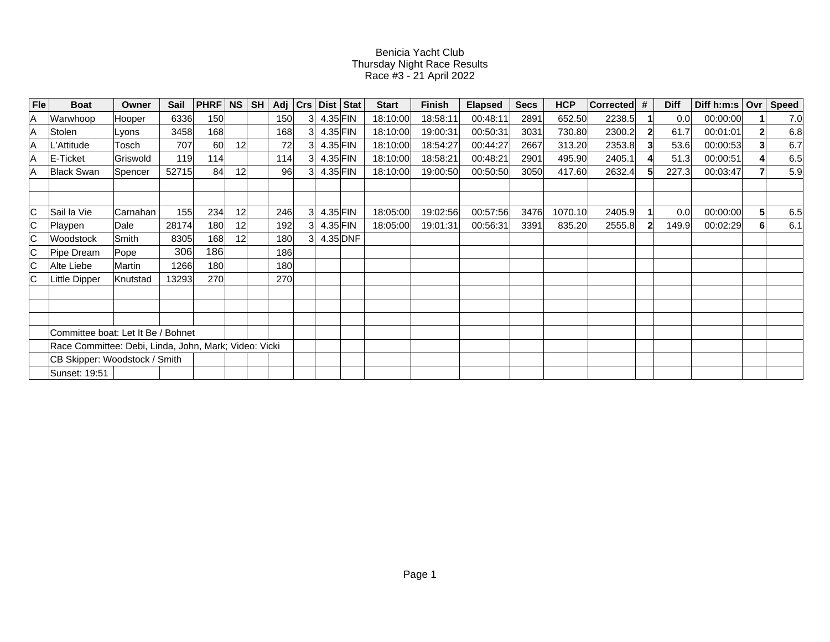## Benicia Yacht Club Thursday Night Race Results Race #3 - 21 April 2022

| <b>Fle</b> | <b>Boat</b>                                           | Owner     | Sail  | PHRF | NS              | <b>SH</b> | Adj |    | Crs   Dist   Stat | <b>Start</b> | Finish   | <b>Elapsed</b> | <b>Secs</b> | <b>HCP</b> | <b>Corrected</b> | # | <b>Diff</b> | Diff h:m:s   Ovr |    | <b>Speed</b> |
|------------|-------------------------------------------------------|-----------|-------|------|-----------------|-----------|-----|----|-------------------|--------------|----------|----------------|-------------|------------|------------------|---|-------------|------------------|----|--------------|
| ۱A         | Warwhoop                                              | Hooper    | 6336  | 150  |                 |           | 150 | 31 | $4.35$ FIN        | 18:10:00     | 18:58:11 | 00:48:11       | 2891        | 652.50     | 2238.5           |   | 0.0         | 00:00:00         |    | 7.0          |
| ۱A         | Stolen                                                | Lyons     | 3458  | 168  |                 |           | 168 |    | 4.35 FIN          | 18:10:00     | 19:00:31 | 00:50:31       | 3031        | 730.80     | 2300.2           |   | 61.7        | 00:01:01         |    | 6.8          |
| ΙA         | L'Attitude                                            | Tosch     | 707   | 60   | 12 <sup>1</sup> |           | 72  |    | $4.35$ FIN        | 18:10:00     | 18:54:27 | 00:44:27       | 2667        | 313.20     | 2353.8           |   | 53.6        | 00:00:53         |    | 6.7          |
| ۱A         | E-Ticket                                              | Griswold  | 119   | 114  |                 |           | 114 |    | 4.35 FIN          | 18:10:00     | 18:58:21 | 00:48:21       | 2901        | 495.90     | 2405.1           |   | 51.3        | 00:00:51         |    | 6.5          |
| ۱A         | <b>Black Swan</b>                                     | Spencer   | 52715 | 84   | 12 <sup>1</sup> |           | 96  |    | 4.35 FIN          | 18:10:00     | 19:00:50 | 00:50:50       | 3050        | 417.60     | 2632.4           |   | 227.3       | 00:03:47         |    | 5.9          |
|            |                                                       |           |       |      |                 |           |     |    |                   |              |          |                |             |            |                  |   |             |                  |    |              |
| C          | Sail la Vie                                           | ∣Carnahan | 155   | 234  | 12 <sup>1</sup> |           | 246 | 31 | $4.35$ FIN        | 18:05:00     | 19:02:56 | 00:57:56       | 3476        | 1070.10    | 2405.9           |   | 0.0         | 00:00:00         | 51 | 6.5          |
| IС         | Playpen                                               | Dale      | 28174 | 180  | 12 <sup>1</sup> |           | 192 |    | $4.35$ FIN        | 18:05:00     | 19:01:31 | 00:56:31       | 3391        | 835.20     | 2555.8           |   | 149.9       | 00:02:29         |    | 6.1          |
| ∣C         | <b>Woodstock</b>                                      | Smith     | 8305  | 168  | 12 <sup>1</sup> |           | 180 | 31 | 4.35 DNF          |              |          |                |             |            |                  |   |             |                  |    |              |
| IС         | Pipe Dream                                            | Pope      | 306   | 186  |                 |           | 186 |    |                   |              |          |                |             |            |                  |   |             |                  |    |              |
| ∣c         | Alte Liebe                                            | Martin    | 1266  | 180  |                 |           | 180 |    |                   |              |          |                |             |            |                  |   |             |                  |    |              |
|            | Little Dipper                                         | Knutstad  | 13293 | 270  |                 |           | 270 |    |                   |              |          |                |             |            |                  |   |             |                  |    |              |
|            |                                                       |           |       |      |                 |           |     |    |                   |              |          |                |             |            |                  |   |             |                  |    |              |
|            |                                                       |           |       |      |                 |           |     |    |                   |              |          |                |             |            |                  |   |             |                  |    |              |
|            |                                                       |           |       |      |                 |           |     |    |                   |              |          |                |             |            |                  |   |             |                  |    |              |
|            | Committee boat: Let It Be / Bohnet                    |           |       |      |                 |           |     |    |                   |              |          |                |             |            |                  |   |             |                  |    |              |
|            | Race Committee: Debi, Linda, John, Mark; Video: Vicki |           |       |      |                 |           |     |    |                   |              |          |                |             |            |                  |   |             |                  |    |              |
|            | CB Skipper: Woodstock / Smith                         |           |       |      |                 |           |     |    |                   |              |          |                |             |            |                  |   |             |                  |    |              |
|            | Sunset: 19:51                                         |           |       |      |                 |           |     |    |                   |              |          |                |             |            |                  |   |             |                  |    |              |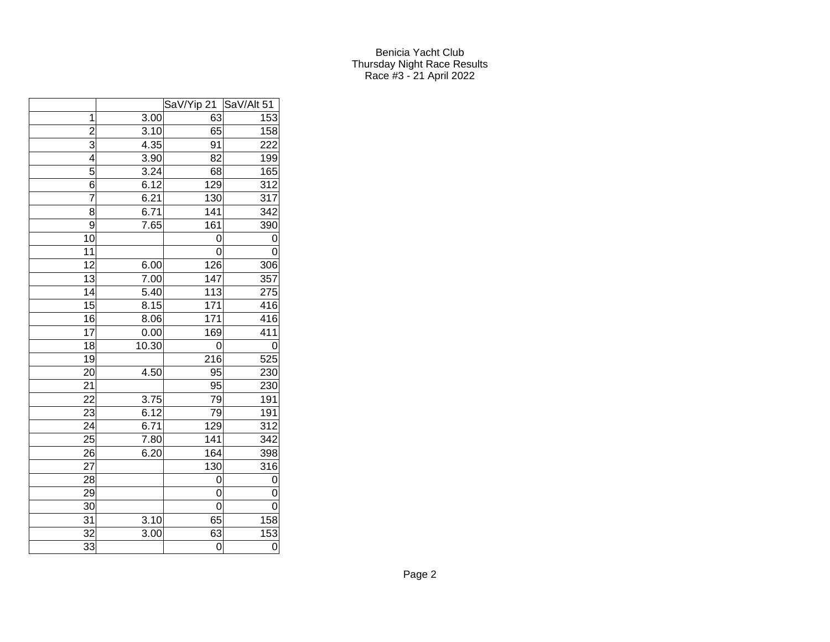## Benicia Yacht Club Thursday Night Race Results Race #3 - 21 April 2022

|                 |       | SaV/Yip 21      | SaV/Alt 51 |
|-----------------|-------|-----------------|------------|
| $\mathbf{1}$    | 3.00  | 63              | 153        |
| $\overline{2}$  | 3.10  | 65              | 158        |
| $\overline{3}$  | 4.35  | 91              | 222        |
| 4               | 3.90  | 82              | 199        |
| 5               | 3.24  | 68              | 165        |
| 6               | 6.12  | 129             | 312        |
| 7               | 6.21  | 130             | 317        |
| 8               | 6.71  | 141             | 342        |
| 9               | 7.65  | 161             | 390        |
| 10              |       | 0               | 0          |
| 11              |       | 0               | 0          |
| 12              | 6.00  | 126             | 306        |
| 13              | 7.00  | 147             | 357        |
| 14              | 5.40  | 113             | 275        |
| $\overline{15}$ | 8.15  | 171             | 416        |
| 16              | 8.06  | 171             | 416        |
| 17              | 0.00  | 169             | 411        |
| 18              | 10.30 | 0               | 0          |
| 19              |       | 216             | 525        |
| 20              | 4.50  | 95              | 230        |
| 21              |       | 95              | 230        |
| 22              | 3.75  | 79              | 191        |
| 23              | 6.12  | $\overline{79}$ | 191        |
| 24              | 6.71  | 129             | 312        |
| 25              | 7.80  | 141             | 342        |
| 26              | 6.20  | 164             | 398        |
| 27              |       | 130             | 316        |
| 28              |       | 0               | 0          |
| 29              |       | 0               | 0          |
| 30              |       | 0               | 0          |
| 31              | 3.10  | 65              | 158        |
| $\overline{3}2$ | 3.00  | 63              | 153        |
| 33              |       | 0               | 0          |